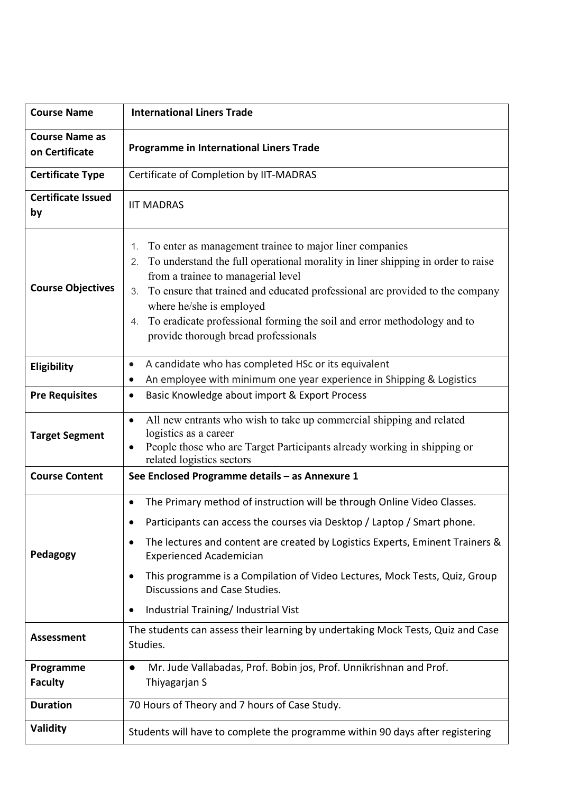| <b>Course Name</b>                      | <b>International Liners Trade</b>                                                                                                                                                                                                                                                                                                                                                                                                                                                |
|-----------------------------------------|----------------------------------------------------------------------------------------------------------------------------------------------------------------------------------------------------------------------------------------------------------------------------------------------------------------------------------------------------------------------------------------------------------------------------------------------------------------------------------|
| <b>Course Name as</b><br>on Certificate | <b>Programme in International Liners Trade</b>                                                                                                                                                                                                                                                                                                                                                                                                                                   |
| <b>Certificate Type</b>                 | Certificate of Completion by IIT-MADRAS                                                                                                                                                                                                                                                                                                                                                                                                                                          |
| <b>Certificate Issued</b><br>by         | <b>IIT MADRAS</b>                                                                                                                                                                                                                                                                                                                                                                                                                                                                |
| <b>Course Objectives</b>                | To enter as management trainee to major liner companies<br>1.<br>To understand the full operational morality in liner shipping in order to raise<br>from a trainee to managerial level<br>To ensure that trained and educated professional are provided to the company<br>3.<br>where he/she is employed<br>To eradicate professional forming the soil and error methodology and to<br>4.<br>provide thorough bread professionals                                                |
| Eligibility                             | A candidate who has completed HSc or its equivalent<br>$\bullet$<br>An employee with minimum one year experience in Shipping & Logistics<br>٠                                                                                                                                                                                                                                                                                                                                    |
| <b>Pre Requisites</b>                   | Basic Knowledge about import & Export Process<br>$\bullet$                                                                                                                                                                                                                                                                                                                                                                                                                       |
| <b>Target Segment</b>                   | All new entrants who wish to take up commercial shipping and related<br>$\bullet$<br>logistics as a career<br>People those who are Target Participants already working in shipping or<br>related logistics sectors                                                                                                                                                                                                                                                               |
| <b>Course Content</b>                   | See Enclosed Programme details - as Annexure 1                                                                                                                                                                                                                                                                                                                                                                                                                                   |
| Pedagogy                                | The Primary method of instruction will be through Online Video Classes.<br>$\bullet$<br>Participants can access the courses via Desktop / Laptop / Smart phone.<br>The lectures and content are created by Logistics Experts, Eminent Trainers &<br>$\bullet$<br><b>Experienced Academician</b><br>This programme is a Compilation of Video Lectures, Mock Tests, Quiz, Group<br>$\bullet$<br>Discussions and Case Studies.<br>Industrial Training/ Industrial Vist<br>$\bullet$ |
| <b>Assessment</b>                       | The students can assess their learning by undertaking Mock Tests, Quiz and Case<br>Studies.                                                                                                                                                                                                                                                                                                                                                                                      |
| Programme<br><b>Faculty</b>             | Mr. Jude Vallabadas, Prof. Bobin jos, Prof. Unnikrishnan and Prof.<br>$\bullet$<br>Thiyagarjan S                                                                                                                                                                                                                                                                                                                                                                                 |
| <b>Duration</b>                         | 70 Hours of Theory and 7 hours of Case Study.                                                                                                                                                                                                                                                                                                                                                                                                                                    |
| Validity                                | Students will have to complete the programme within 90 days after registering                                                                                                                                                                                                                                                                                                                                                                                                    |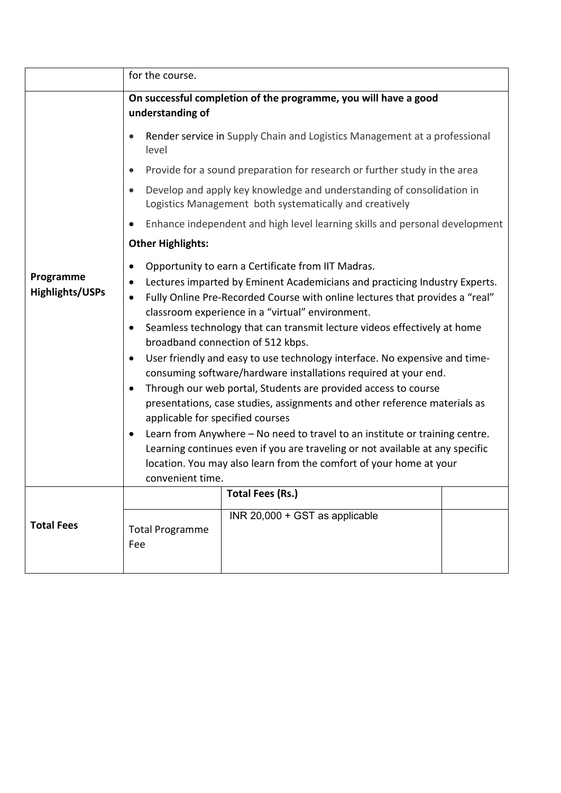|                                     | for the course.                                                                                                                                                                                                                                                                                                                                                                                                                                                                                                                                                                                                                                                                                                                                                                                                                                                                                                                                                                                                                                                   |
|-------------------------------------|-------------------------------------------------------------------------------------------------------------------------------------------------------------------------------------------------------------------------------------------------------------------------------------------------------------------------------------------------------------------------------------------------------------------------------------------------------------------------------------------------------------------------------------------------------------------------------------------------------------------------------------------------------------------------------------------------------------------------------------------------------------------------------------------------------------------------------------------------------------------------------------------------------------------------------------------------------------------------------------------------------------------------------------------------------------------|
|                                     | On successful completion of the programme, you will have a good<br>understanding of                                                                                                                                                                                                                                                                                                                                                                                                                                                                                                                                                                                                                                                                                                                                                                                                                                                                                                                                                                               |
|                                     | Render service in Supply Chain and Logistics Management at a professional<br>level                                                                                                                                                                                                                                                                                                                                                                                                                                                                                                                                                                                                                                                                                                                                                                                                                                                                                                                                                                                |
|                                     | Provide for a sound preparation for research or further study in the area<br>$\bullet$                                                                                                                                                                                                                                                                                                                                                                                                                                                                                                                                                                                                                                                                                                                                                                                                                                                                                                                                                                            |
|                                     | Develop and apply key knowledge and understanding of consolidation in<br>$\bullet$<br>Logistics Management both systematically and creatively                                                                                                                                                                                                                                                                                                                                                                                                                                                                                                                                                                                                                                                                                                                                                                                                                                                                                                                     |
|                                     | Enhance independent and high level learning skills and personal development                                                                                                                                                                                                                                                                                                                                                                                                                                                                                                                                                                                                                                                                                                                                                                                                                                                                                                                                                                                       |
|                                     | <b>Other Highlights:</b>                                                                                                                                                                                                                                                                                                                                                                                                                                                                                                                                                                                                                                                                                                                                                                                                                                                                                                                                                                                                                                          |
| Programme<br><b>Highlights/USPs</b> | Opportunity to earn a Certificate from IIT Madras.<br>$\bullet$<br>Lectures imparted by Eminent Academicians and practicing Industry Experts.<br>$\bullet$<br>Fully Online Pre-Recorded Course with online lectures that provides a "real"<br>$\bullet$<br>classroom experience in a "virtual" environment.<br>Seamless technology that can transmit lecture videos effectively at home<br>$\bullet$<br>broadband connection of 512 kbps.<br>User friendly and easy to use technology interface. No expensive and time-<br>$\bullet$<br>consuming software/hardware installations required at your end.<br>Through our web portal, Students are provided access to course<br>$\bullet$<br>presentations, case studies, assignments and other reference materials as<br>applicable for specified courses<br>Learn from Anywhere - No need to travel to an institute or training centre.<br>Learning continues even if you are traveling or not available at any specific<br>location. You may also learn from the comfort of your home at your<br>convenient time. |
| <b>Total Fees</b>                   | <b>Total Fees (Rs.)</b><br>INR 20,000 + GST as applicable<br><b>Total Programme</b><br>Fee                                                                                                                                                                                                                                                                                                                                                                                                                                                                                                                                                                                                                                                                                                                                                                                                                                                                                                                                                                        |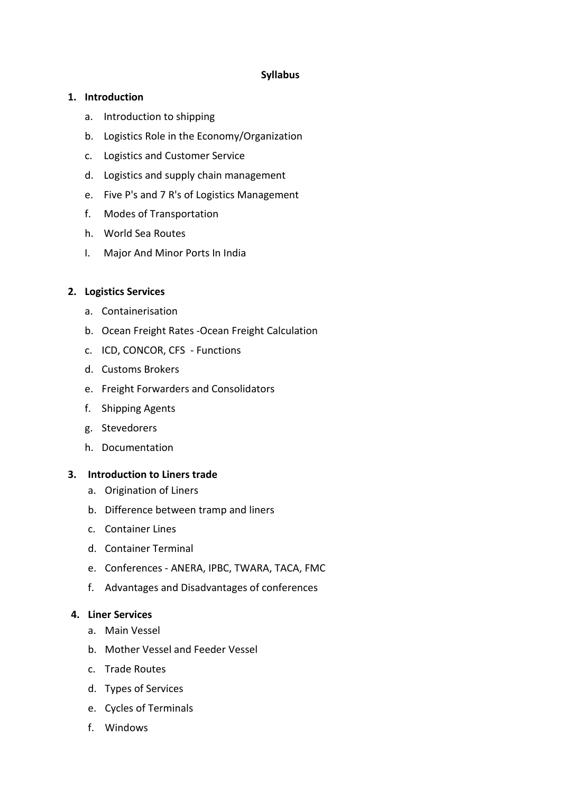### **Syllabus**

## **1. Introduction**

- a. Introduction to shipping
- b. Logistics Role in the Economy/Organization
- c. Logistics and Customer Service
- d. Logistics and supply chain management
- e. Five P's and 7 R's of Logistics Management
- f. Modes of Transportation
- h. World Sea Routes
- I. Major And Minor Ports In India

## **2. Logistics Services**

- a. Containerisation
- b. Ocean Freight Rates -Ocean Freight Calculation
- c. ICD, CONCOR, CFS Functions
- d. Customs Brokers
- e. Freight Forwarders and Consolidators
- f. Shipping Agents
- g. Stevedorers
- h. Documentation

## **3. Introduction to Liners trade**

- a. Origination of Liners
- b. Difference between tramp and liners
- c. Container Lines
- d. Container Terminal
- e. Conferences ANERA, IPBC, TWARA, TACA, FMC
- f. Advantages and Disadvantages of conferences

## **4. Liner Services**

- a. Main Vessel
- b. Mother Vessel and Feeder Vessel
- c. Trade Routes
- d. Types of Services
- e. Cycles of Terminals
- f. Windows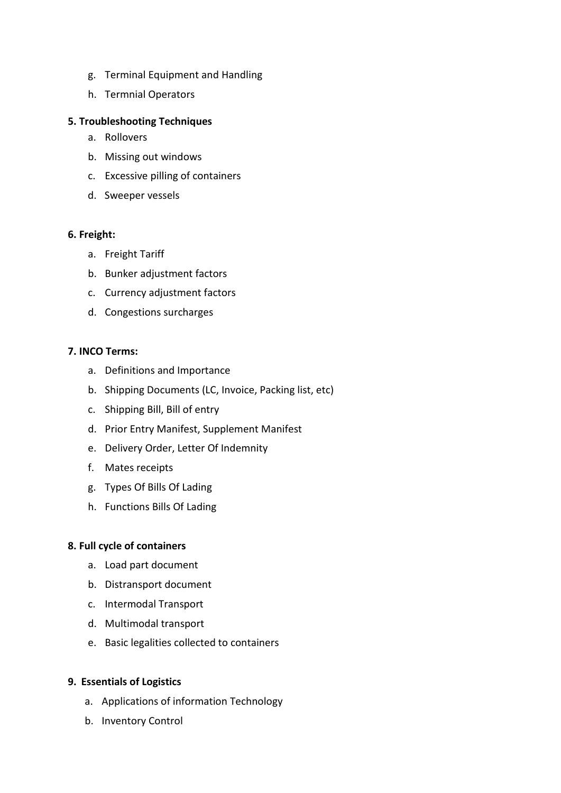- g. Terminal Equipment and Handling
- h. Termnial Operators

## **5. Troubleshooting Techniques**

- a. Rollovers
- b. Missing out windows
- c. Excessive pilling of containers
- d. Sweeper vessels

#### **6. Freight:**

- a. Freight Tariff
- b. Bunker adjustment factors
- c. Currency adjustment factors
- d. Congestions surcharges

#### **7. INCO Terms:**

- a. Definitions and Importance
- b. Shipping Documents (LC, Invoice, Packing list, etc)
- c. Shipping Bill, Bill of entry
- d. Prior Entry Manifest, Supplement Manifest
- e. Delivery Order, Letter Of Indemnity
- f. Mates receipts
- g. Types Of Bills Of Lading
- h. Functions Bills Of Lading

#### **8. Full cycle of containers**

- a. Load part document
- b. Distransport document
- c. Intermodal Transport
- d. Multimodal transport
- e. Basic legalities collected to containers

## **9. Essentials of Logistics**

- a. Applications of information Technology
- b. Inventory Control